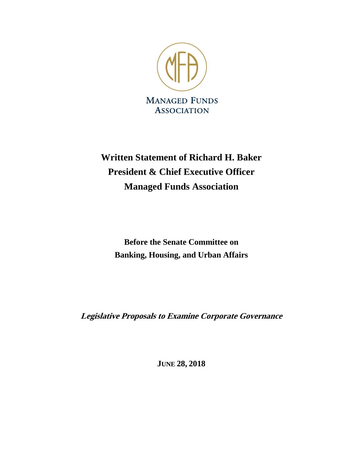

# **Written Statement of Richard H. Baker President & Chief Executive Officer Managed Funds Association**

**Before the Senate Committee on Banking, Housing, and Urban Affairs**

**Legislative Proposals to Examine Corporate Governance**

**JUNE 28, 2018**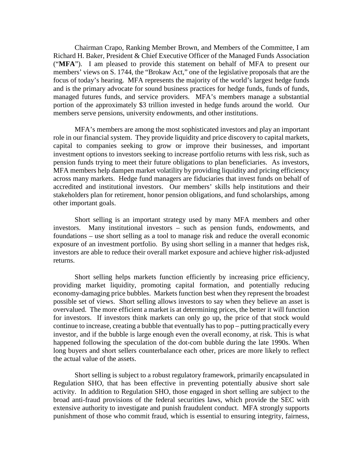Chairman Crapo, Ranking Member Brown, and Members of the Committee, I am Richard H. Baker, President & Chief Executive Officer of the Managed Funds Association ("**MFA**"). I am pleased to provide this statement on behalf of MFA to present our members' views on S. 1744, the "Brokaw Act," one of the legislative proposals that are the focus of today's hearing. MFA represents the majority of the world's largest hedge funds and is the primary advocate for sound business practices for hedge funds, funds of funds, managed futures funds, and service providers. MFA's members manage a substantial portion of the approximately \$3 trillion invested in hedge funds around the world. Our members serve pensions, university endowments, and other institutions.

MFA's members are among the most sophisticated investors and play an important role in our financial system. They provide liquidity and price discovery to capital markets, capital to companies seeking to grow or improve their businesses, and important investment options to investors seeking to increase portfolio returns with less risk, such as pension funds trying to meet their future obligations to plan beneficiaries. As investors, MFA members help dampen market volatility by providing liquidity and pricing efficiency across many markets. Hedge fund managers are fiduciaries that invest funds on behalf of accredited and institutional investors. Our members' skills help institutions and their stakeholders plan for retirement, honor pension obligations, and fund scholarships, among other important goals.

Short selling is an important strategy used by many MFA members and other investors. Many institutional investors – such as pension funds, endowments, and foundations – use short selling as a tool to manage risk and reduce the overall economic exposure of an investment portfolio. By using short selling in a manner that hedges risk, investors are able to reduce their overall market exposure and achieve higher risk-adjusted returns.

Short selling helps markets function efficiently by increasing price efficiency, providing market liquidity, promoting capital formation, and potentially reducing economy-damaging price bubbles. Markets function best when they represent the broadest possible set of views. Short selling allows investors to say when they believe an asset is overvalued. The more efficient a market is at determining prices, the better it will function for investors. If investors think markets can only go up, the price of that stock would continue to increase, creating a bubble that eventually has to pop – putting practically every investor, and if the bubble is large enough even the overall economy, at risk. This is what happened following the speculation of the dot-com bubble during the late 1990s. When long buyers and short sellers counterbalance each other, prices are more likely to reflect the actual value of the assets.

Short selling is subject to a robust regulatory framework, primarily encapsulated in Regulation SHO, that has been effective in preventing potentially abusive short sale activity. In addition to Regulation SHO, those engaged in short selling are subject to the broad anti-fraud provisions of the federal securities laws, which provide the SEC with extensive authority to investigate and punish fraudulent conduct. MFA strongly supports punishment of those who commit fraud, which is essential to ensuring integrity, fairness,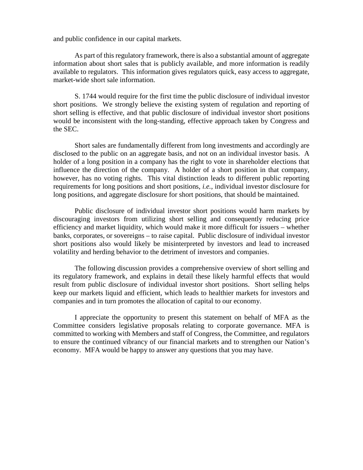and public confidence in our capital markets.

As part of this regulatory framework, there is also a substantial amount of aggregate information about short sales that is publicly available, and more information is readily available to regulators. This information gives regulators quick, easy access to aggregate, market-wide short sale information.

S. 1744 would require for the first time the public disclosure of individual investor short positions. We strongly believe the existing system of regulation and reporting of short selling is effective, and that public disclosure of individual investor short positions would be inconsistent with the long-standing, effective approach taken by Congress and the SEC.

Short sales are fundamentally different from long investments and accordingly are disclosed to the public on an aggregate basis, and not on an individual investor basis. A holder of a long position in a company has the right to vote in shareholder elections that influence the direction of the company. A holder of a short position in that company, however, has no voting rights. This vital distinction leads to different public reporting requirements for long positions and short positions, *i.e.*, individual investor disclosure for long positions, and aggregate disclosure for short positions, that should be maintained.

Public disclosure of individual investor short positions would harm markets by discouraging investors from utilizing short selling and consequently reducing price efficiency and market liquidity, which would make it more difficult for issuers – whether banks, corporates, or sovereigns – to raise capital. Public disclosure of individual investor short positions also would likely be misinterpreted by investors and lead to increased volatility and herding behavior to the detriment of investors and companies.

The following discussion provides a comprehensive overview of short selling and its regulatory framework, and explains in detail these likely harmful effects that would result from public disclosure of individual investor short positions. Short selling helps keep our markets liquid and efficient, which leads to healthier markets for investors and companies and in turn promotes the allocation of capital to our economy.

I appreciate the opportunity to present this statement on behalf of MFA as the Committee considers legislative proposals relating to corporate governance. MFA is committed to working with Members and staff of Congress, the Committee, and regulators to ensure the continued vibrancy of our financial markets and to strengthen our Nation's economy. MFA would be happy to answer any questions that you may have.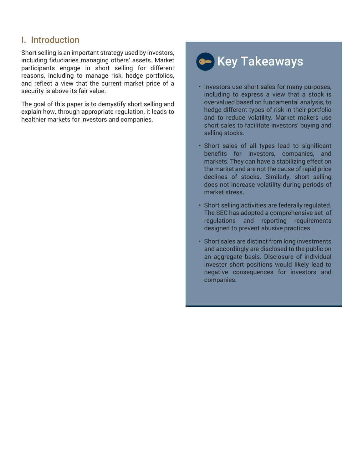# I. Introduction

Short selling is an important strategy used by investors, including fiduciaries managing others' assets. Market participants engage in short selling for different reasons, including to manage risk, hedge portfolios, and reflect a view that the current market price of a security is above its fair value.

The goal of this paper is to demystify short selling and explain how, through appropriate regulation, it leads to healthier markets for investors and companies.

# **(am)** Key Takeaways

- Investors use short sales for many purposes, including to express a view that a stock is overvalued based on fundamental analysis, to hedge different types of risk in their portfolio and to reduce volatility. Market makers use short sales to facilitate investors' buying and selling stocks.
- Short sales of all types lead to significant benefits for investors, companies, and markets. They can have a stabilizing effect on the market and are not the cause of rapid price declines of stocks. Similarly, short selling does not increase volatility during periods of market stress.
- Short selling activities are federallyregulated. The SEC has adopted a comprehensive set -of regulations and reporting requirements designed to prevent abusive practices.
- Short sales are distinct from long investments and accordingly are disclosed to the public on an aggregate basis. Disclosure of individual investor short positions would likely lead to negative consequences for investors and companies.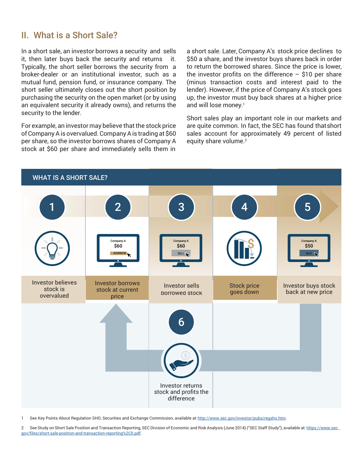## II. What is a Short Sale?

In a short sale, an investor borrows a security and sells it, then later buys back the security and returns it. Typically, the short seller borrows the security from a broker-dealer or an institutional investor, such as a mutual fund, pension fund, or insurance company. The short seller ultimately closes out the short position by purchasing the security on the open market (or by using an equivalent security it already owns), and returns the security to the lender.

For example, an investor may believe that the stock price of Company A is overvalued. Company A is trading at \$60 per share, so the investor borrows shares of Company A stock at \$60 per share and immediately sells them in

a short sale. Later, Company A's stock price declines to \$50 a share, and the investor buys shares back in order to return the borrowed shares. Since the price is lower, the investor profits on the difference  $-$  \$10 per share (minus transaction costs and interest paid to the lender). However, if the price of Company A's stock goes up, the investor must buy back shares at a higher price and will lose money.<sup>1</sup>

Short sales play an important role in our markets and are quite common. In fact, the SEC has found thatshort sales account for approximately 49 percent of listed equity share volume.<sup>2</sup>



1 See Key Points About Regulation SHO, Securities and Exchange Commission, available at: http://www.sec.gov/investor/pubs/regsho.htm.

2 See Study on Short Sale Position and Transaction Reporting, SEC Division of Economic and Risk Analysis (June 2014) ("SEC Staff Study"), available at: [https://www.sec.](https://www.sec.gov/files/short-sale-position-and-transaction-reporting%2C0.pdf) [gov/files/short-sale-position-and-transaction-reporting%2C0.pdf.](https://www.sec.gov/files/short-sale-position-and-transaction-reporting%2C0.pdf)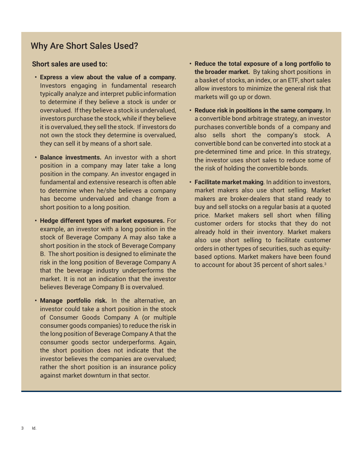# Why Are Short Sales Used?

## **Short sales are used to:**

- **• Express a view about the value of a company.**  Investors engaging in fundamental research typically analyze and interpret public information to determine if they believe a stock is under or overvalued. Ifthey believe a stock is undervalued, investors purchase the stock, while if they believe it is overvalued, they sell the stock. If investors do not own the stock they determine is overvalued, they can sell it by means of a short sale.
- **• Balance investments.** An investor with a short position in a company may later take a long position in the company. An investor engaged in fundamental and extensive research is often able to determine when he/she believes a company has become undervalued and change from a short position to a long position.
- **• Hedge different types of market exposures.** For example, an investor with a long position in the stock of Beverage Company A may also take a short position in the stock of Beverage Company B. The short position is designed to eliminate the risk in the long position of Beverage Company A that the beverage industry underperforms the market. It is not an indication that the investor believes Beverage Company B is overvalued.
- **• Manage portfolio risk.** In the alternative, an investor could take a short position in the stock of Consumer Goods Company A (or multiple consumer goods companies) to reduce the risk in the long position of Beverage Company A that the consumer goods sector underperforms. Again, the short position does not indicate that the investor believes the companies are overvalued; rather the short position is an insurance policy against market downturn in that sector.
- **• Reduce the total exposure of a long portfolio to the broader market.** By taking short positions in a basket of stocks, an index, or an ETF, short sales allow investors to minimize the general risk that markets will go up or down.
- **• Reduce risk in positions in the same company.** In a convertible bond arbitrage strategy, an investor purchases convertible bonds of a company and also sells short the company's stock. A convertible bond can be converted into stock at a pre-determined time and price. In this strategy, the investor uses short sales to reduce some of the risk of holding the convertible bonds.
- **• Facilitate market making**. In addition to investors, market makers also use short selling. Market makers are broker-dealers that stand ready to buy and sell stocks on a regular basis at a quoted price. Market makers sell short when filling customer orders for stocks that they do not already hold in their inventory. Market makers also use short selling to facilitate customer orders in other types of securities, such as equitybased options. Market makers have been found to account for about 35 percent of short sales.<sup>3</sup>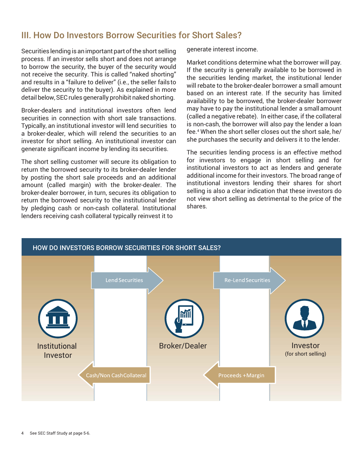# III. How Do Investors Borrow Securities for Short Sales?

Securities lending is an important part of the short selling process. If an investor sells short and does not arrange to borrow the security, the buyer of the security would not receive the security. This is called "naked shorting" and results in a "failure to deliver" (i.e., the seller failsto deliver the security to the buyer). As explained in more detail below, SEC rules generally prohibit naked shorting.

Broker-dealers and institutional investors often lend securities in connection with short sale transactions. Typically, an institutional investor will lend securities to a broker-dealer, which will relend the securities to an investor for short selling. An institutional investor can generate significant income by lending its securities.

The short selling customer will secure its obligation to return the borrowed security to its broker-dealer lender by posting the short sale proceeds and an additional amount (called margin) with the broker-dealer. The broker-dealer borrower, in turn, secures its obligation to return the borrowed security to the institutional lender by pledging cash or non-cash collateral. Institutional lenders receiving cash collateral typically reinvest it to

generate interest income.

Market conditions determine what the borrower will pay. If the security is generally available to be borrowed in the securities lending market, the institutional lender will rebate to the broker-dealer borrower a small amount based on an interest rate. If the security has limited availability to be borrowed, the broker-dealer borrower may have to pay the institutional lender a smallamount (called a negative rebate). In either case, if the collateral is non-cash, the borrower will also pay the lender a loan fee.4 When the short seller closes out the short sale, he/ she purchases the security and delivers it to the lender.

The securities lending process is an effective method for investors to engage in short selling and for institutional investors to act as lenders and generate additional income for their investors. The broad range of institutional investors lending their shares for short selling is also a clear indication that these investors do not view short selling as detrimental to the price of the shares.

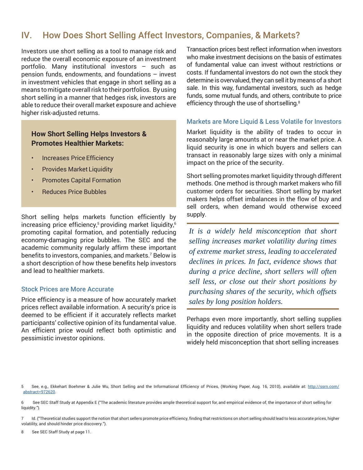# IV. How Does Short Selling Affect Investors, Companies, & Markets?

Investors use short selling as a tool to manage risk and reduce the overall economic exposure of an investment portfolio. Many institutional investors – such as pension funds, endowments, and foundations – invest in investment vehicles that engage in short selling as a means to mitigate overall risk to their portfolios. By using short selling in a manner that hedges risk, investors are able to reduce their overall market exposure and achieve higher risk-adjusted returns.

## **How Short Selling Helps Investors & Promotes Healthier Markets:**

- Increases Price Efficiency
- Provides Market Liquidity
- Promotes Capital Formation
- Reduces Price Bubbles

Short selling helps markets function efficiently by increasing price efficiency,<sup>5</sup> providing market liquidity, $6$ promoting capital formation, and potentially reducing economy-damaging price bubbles. The SEC and the academic community regularly affirm these important benefits to investors, companies, and markets.7 Below is a short description of how these benefits help investors and lead to healthier markets.

#### Stock Prices are More Accurate

Price efficiency is a measure of how accurately market prices reflect available information. A security's price is deemed to be efficient if it accurately reflects market participants' collective opinion of its fundamental value. An efficient price would reflect both optimistic and pessimistic investor opinions.

Transaction prices best reflect information when investors who make investment decisions on the basis of estimates of fundamental value can invest without restrictions or costs. If fundamental investors do not own the stock they determine is overvalued, they can sell it by means of a short sale. In this way, fundamental investors, such as hedge funds, some mutual funds, and others, contribute to price efficiency through the use of short selling.<sup>8</sup>

#### Markets are More Liquid & Less Volatile for Investors

Market liquidity is the ability of trades to occur in reasonably large amounts at or near the market price. A liquid security is one in which buyers and sellers can transact in reasonably large sizes with only a minimal impact on the price of the security.

Short selling promotes market liquidity through different methods. One method is through market makers who fill customer orders for securities. Short selling by market makers helps offset imbalances in the flow of buy and sell orders, when demand would otherwise exceed supply.

*It is a widely held misconception that short selling increases market volatility during times of extreme market stress, leading to accelerated declines in prices. In fact, evidence shows that during a price decline, short sellers will often sell less, or close out their short positions by purchasing shares of the security, which offsets sales by long position holders.*

Perhaps even more importantly, short selling supplies liquidity and reduces volatility when short sellers trade in the opposite direction of price movements. It is a widely held misconception that short selling increases

5 See, e.g.*,* Ekkehart Boehmer & Julie Wu, Short Selling and the Informational Efficiency of Prices, (Working Paper, Aug. 16, 2010), available at: [http://ssrn.com/](https://papers.ssrn.com/sol3/papers.cfm?abstract_id=972620) [abstract=972620.](https://papers.ssrn.com/sol3/papers.cfm?abstract_id=972620)

6 See SEC Staff Study at Appendix E ("The academic literature provides ample theoretical support for, and empirical evidence of, the importance of short selling for liquidity.").

7 Id. ("Theoretical studies support the notion that short sellers promote price efficiency, finding that restrictions on short selling should lead to less accurate prices, higher volatility, and should hinder price discovery.").

See SEC Staff Study at page 11.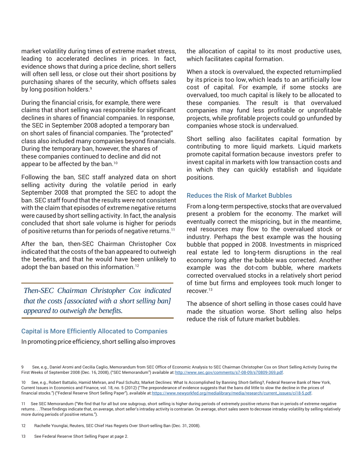market volatility during times of extreme market stress, leading to accelerated declines in prices. In fact, evidence shows that during a price decline, short sellers will often sell less, or close out their short positions by purchasing shares of the security, which offsets sales by long position holders.<sup>9</sup>

During the financial crisis, for example, there were claims that short selling was responsible for significant declines in shares of financial companies. In response, the SEC in September 2008 adopted a temporary ban on short sales of financial companies. The "protected" class also included many companies beyond financials. During the temporary ban, however, the shares of these companies continued to decline and did not appear to be affected by the ban.<sup>10</sup>

Following the ban, SEC staff analyzed data on short selling activity during the volatile period in early September 2008 that prompted the SEC to adopt the ban. SEC staff found that the results were not consistent with the claim that episodes of extreme negative returns were caused by short selling activity. In fact, the analysis concluded that short sale volume is higher for periods of positive returns than for periods of negative returns.<sup>11</sup>

After the ban, then-SEC Chairman Christopher Cox indicated that the costs of the ban appeared to outweigh the benefits, and that he would have been unlikely to adopt the ban based on this information.<sup>12</sup>

*Then-SEC Chairman Christopher Cox indicated that the costs [associated with a short selling ban] appeared to outweigh the benefits.*

## Capital is More Efficiently Allocated to Companies In promoting price efficiency, short selling also improves

the allocation of capital to its most productive uses, which facilitates capital formation.

When a stock is overvalued, the expected returnimplied by its price is too low,which leads to an artificially low cost of capital. For example, if some stocks are overvalued, too much capital is likely to be allocated to these companies. The result is that overvalued companies may fund less profitable or unprofitable projects, while profitable projects could go unfunded by companies whose stock is undervalued.

Short selling also facilitates capital formation by contributing to more liquid markets. Liquid markets promote capital formation because investors prefer to invest capital in markets with low transaction costs and in which they can quickly establish and liquidate positions.

## Reduces the Risk of Market Bubbles

From a long-term perspective, stocks that are overvalued present a problem for the economy. The market will eventually correct the mispricing, but in the meantime, real resources may flow to the overvalued stock or industry. Perhaps the best example was the housing bubble that popped in 2008. Investments in mispriced real estate led to long-term disruptions in the real economy long after the bubble was corrected. Another example was the dot-com bubble, where markets corrected overvalued stocks in a relatively short period of time but firms and employees took much longer to recover $13$ 

The absence of short selling in those cases could have made the situation worse. Short selling also helps reduce the risk of future market bubbles.

9 See, e.g., Daniel Aromi and Cecilia Caglio, Memorandum from SEC Office of Economic Analysis to SEC Chairman Christopher Cox on Short Selling Activity During the First Weeks of September 2008 (Dec. 16, 2008), ("SEC Memorandum") available a[t:http://www.sec.gov/comments/s7-08-09/s70809-369.pdf.](http://www.sec.gov/comments/s7-08-09/s70809-369.pdf)

10 See, e.g., Robert Battalio, Hamid Mehran, and Paul Schultz, Market Declines: What Is Accomplished by Banning Short-Selling?, Federal Reserve Bank of New York, Current Issues in Economics and Finance, vol. 18, no. 5 (2012) ("The preponderance of evidence suggests that the bans did little to slow the decline in the prices of financial stocks.") ("Federal Reserve Short Selling Paper"), available at[:https://www.newyorkfed.org/medialibrary/media/research/current\\_issues/ci18-5.pdf.](https://www.newyorkfed.org/medialibrary/media/research/current_issues/ci18-5.pdf)

11 See SEC Memorandum ("We find that for all but one subgroup, short selling is higher during periods of extremely positive returns than in periods of extreme negative returns . . .These findings indicate that, on average, short seller's intraday activity is contrarian. On average, short sales seem to decrease intraday volatility by selling relatively more during periods of positive returns.").

12 Rachelle Younglai, Reuters, SEC Chief Has Regrets Over Short-selling Ban (Dec. 31, 2008).

13 See Federal Reserve Short Selling Paper at page 2.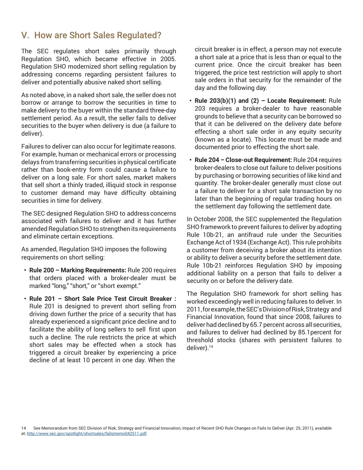## V. How are Short Sales Regulated?

The SEC regulates short sales primarily through Regulation SHO, which became effective in 2005. Regulation SHO modernized short selling regulation by addressing concerns regarding persistent failures to deliver and potentially abusive naked short selling.

As noted above, in a naked short sale, the seller does not borrow or arrange to borrow the securities in time to make delivery to the buyer within the standard three-day settlement period. As a result, the seller fails to deliver securities to the buyer when delivery is due (a failure to deliver).

Failures to deliver can also occur for legitimate reasons. For example, human or mechanical errors or processing delays from transferring securities in physical certificate rather than book-entry form could cause a failure to deliver on a long sale. For short sales, market makers that sell short a thinly traded, illiquid stock in response to customer demand may have difficulty obtaining securities in time for delivery.

The SEC designed Regulation SHO to address concerns associated with failures to deliver and it has further amended Regulation SHO to strengthen its requirements and eliminate certain exceptions.

As amended, Regulation SHO imposes the following requirements on short selling:

- **• Rule 200 – Marking Requirements:** Rule 200 requires that orders placed with a broker-dealer must be marked "long," "short," or "short exempt."
- **• Rule 201 – Short Sale Price Test Circuit Breaker :**  Rule 201 is designed to prevent short selling from driving down further the price of a security that has already experienced a significant price decline and to facilitate the ability of long sellers to sell first upon such a decline. The rule restricts the price at which short sales may be effected when a stock has triggered a circuit breaker by experiencing a price decline of at least 10 percent in one day. When the

circuit breaker is in effect, a person may not execute a short sale at a price that is less than or equal to the current price. Once the circuit breaker has been triggered, the price test restriction will apply to short sale orders in that security for the remainder of the day and the following day.

- **• Rule 203(b)(1) and (2) – Locate Requirement:** Rule 203 requires a broker-dealer to have reasonable grounds to believe that a security can be borrowed so that it can be delivered on the delivery date before effecting a short sale order in any equity security (known as a locate). This locate must be made and documented prior to effecting the short sale.
- **• Rule 204 – Close-out Requirement:** Rule 204 requires broker-dealers to close out failure to deliver positions by purchasing or borrowing securities of like kind and quantity. The broker-dealer generally must close out a failure to deliver for a short sale transaction by no later than the beginning of regular trading hours on the settlement day following the settlement date.

In October 2008, the SEC supplemented the Regulation SHO framework to prevent failures to deliver by adopting Rule 10b-21, an antifraud rule under the Securities Exchange Act of 1934 (Exchange Act). This rule prohibits a customer from deceiving a broker about its intention or ability to deliver a security before the settlement date. Rule 10b-21 reinforces Regulation SHO by imposing additional liability on a person that fails to deliver a security on or before the delivery date.

The Regulation SHO framework for short selling has worked exceedingly well in reducing failures to deliver. In 2011,forexample,theSEC'sDivisionofRisk,Strategy and Financial Innovation, found that since 2008, failures to deliver had declined by 65.7 percent across all securities, and failures to deliver had declined by 85.1percent for threshold stocks (shares with persistent failures to deliver).14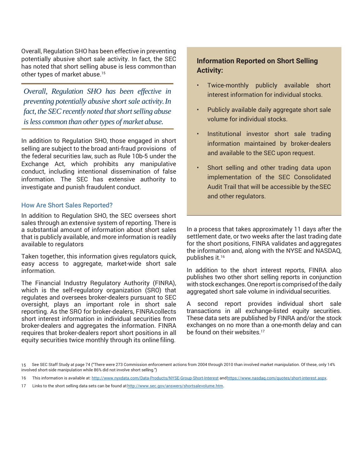Overall, Regulation SHO has been effective in preventing potentially abusive short sale activity. In fact, the SEC has noted that short selling abuse is less commonthan other types of market abuse.<sup>15</sup>

*Overall, Regulation SHO has been effective in preventing potentially abusive short sale activity.In fact, the SEC recently noted that short selling abuse isless common than othertypes of market abuse.*

In addition to Regulation SHO, those engaged in short selling are subject to the broad anti-fraud provisions of the federal securities law, such as Rule 10b-5 under the Exchange Act, which prohibits any manipulative conduct, including intentional dissemination of false information. The SEC has extensive authority to investigate and punish fraudulent conduct.

#### How Are Short Sales Reported?

In addition to Regulation SHO, the SEC oversees short sales through an extensive system of reporting. There is a substantial amount of information about short sales that is publicly available, and more information is readily available to regulators

Taken together, this information gives regulators quick, easy access to aggregate, market-wide short sale information.

The Financial Industry Regulatory Authority (FINRA), which is the self-regulatory organization (SRO) that regulates and oversees broker-dealers pursuant to SEC oversight, plays an important role in short sale reporting. As the SRO for broker-dealers, FINRAcollects short interest information in individual securities from broker-dealers and aggregates the information. FINRA requires that broker-dealers report short positions in all equity securities twice monthly through its online filing.

## **Information Reported on Short Selling Activity:**

- Twice-monthly publicly available short interest information for individual stocks.
- Publicly available daily aggregate short sale volume for individual stocks.
- Institutional investor short sale trading information maintained by broker-dealers and available to the SEC upon request.
- Short selling and other trading data upon implementation of the SEC Consolidated Audit Trail that will be accessible by theSEC and other regulators.

In a process that takes approximately 11 days after the settlement date, or two weeks after the last trading date for the short positions, FINRA validates and aggregates the information and, along with the NYSE and NASDAQ, publishes it.16

In addition to the short interest reports, FINRA also publishes two other short selling reports in conjunction with stock exchanges. One report is comprised of the daily aggregated short sale volume in individual securities.

A second report provides individual short sale transactions in all exchange-listed equity securities. These data sets are published by FINRA and/or the stock exchanges on no more than a one-month delay and can be found on their websites.<sup>17</sup>

<sup>15</sup> See SEC Staff Study at page 74 ("There were 273 Commission enforcement actions from 2004 through 2010 than involved market manipulation. Of these, only 14% involved short-side manipulation while 86% did not involve short selling.")

<sup>16</sup> This information is available at: <http://www.nyxdata.com/Data-Products/NYSE-Group-Short-Interest> and https://www.nasdaq.com/quotes/short-interest.aspx.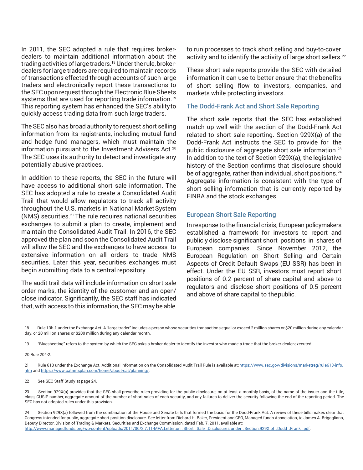In 2011, the SEC adopted a rule that requires brokerdealers to maintain additional information about the trading activities of large traders.<sup>18</sup> Under the rule, brokerdealers for large traders are required to maintain records of transactions effected through accounts of such large traders and electronically report these transactions to the SEC upon request through the Electronic Blue Sheets systems that are used for reporting trade information.<sup>19</sup> This reporting system has enhanced the SEC's abilityto quickly access trading data from such large traders.

The SEC also has broad authority to request short selling information from its registrants, including mutual fund and hedge fund managers, which must maintain the information pursuant to the Investment Advisers Act.<sup>20</sup> The SEC uses its authority to detect and investigate any potentially abusive practices.

In addition to these reports, the SEC in the future will have access to additional short sale information. The SEC has adopted a rule to create a Consolidated Audit Trail that would allow regulators to track all activity throughout the U.S. markets in National Market System (NMS) securities.21 The rule requires national securities exchanges to submit a plan to create, implement and maintain the Consolidated Audit Trail. In 2016, the SEC approved the plan and soon the Consolidated Audit Trail will allow the SEC and the exchanges to have access to extensive information on all orders to trade NMS securities. Later this year, securities exchanges must begin submitting data to a central repository.

The audit trail data will include information on short sale order marks, the identity of the customer and an open/ close indicator. Significantly, the SEC staff has indicated that, with access to this information, the SEC may be able

to run processes to track short selling and buy-to-cover activity and to identify the activity of large short sellers.<sup>22</sup>

These short sale reports provide the SEC with detailed information it can use to better ensure that the benefits of short selling flow to investors, companies, and markets while protecting investors.

#### The Dodd-Frank Act and Short Sale Reporting

The short sale reports that the SEC has established match up well with the section of the Dodd-Frank Act related to short sale reporting. Section 929X(a) of the Dodd-Frank Act instructs the SEC to provide for the public disclosure of aggregate short sale information.<sup>23</sup> In addition to the text of Section 929X(a), the legislative history of the Section confirms that disclosure should be of aggregate, rather than individual, short positions.<sup>24</sup> Aggregate information is consistent with the type of short selling information that is currently reported by FINRA and the stock exchanges.

#### European Short Sale Reporting

In response to the financial crisis, European policymakers established a framework for investors to report and publicly disclose significant short positions in shares of European companies. Since November 2012, the European Regulation on Short Selling and Certain Aspects of Credit Default Swaps (EU SSR) has been in effect. Under the EU SSR, investors must report short positions of 0.2 percent of share capital and above to regulators and disclose short positions of 0.5 percent and above of share capital to thepublic.

18 Rule 13h-1 under the Exchange Act. A "large trader" includes a person whose securities transactions equal or exceed 2 million shares or \$20 million during any calendar day, or 20 million shares or \$200 million during any calendar month.

19 "Bluesheeting" refers to the system by which the SEC asks a broker-dealer to identify the investor who made a trade that the broker-dealer executed.

20 Rule 204-2.

21 Rule 613 under the Exchange Act. Additional information on the Consolidated Audit Trail Rule is available at: [https://www.sec.gov/divisions/marketreg/rule613-info.](https://www.sec.gov/divisions/marketreg/rule613-info.htm) [htm](https://www.sec.gov/divisions/marketreg/rule613-info.htm) an[d https://www.catnmsplan.com/home/about-cat/planning/.](https://www.catnmsplan.com/home/about-cat/planning/)

22 See SEC Staff Study at page 24.

23 Section 929X(a) provides that the SEC shall prescribe rules providing for the public disclosure, on at least a monthly basis, of the name of the issuer and the title, class, CUSIP number, aggregate amount of the number of short sales of each security, and any failures to deliver the security following the end of the reporting period. The SEC has not adopted rules under this provision.

24 Section 929X(a) followed from the combination of the House and Senate bills that formed the basis for the Dodd-Frank Act. A review of these bills makes clear that Congress intended for public, aggregate short position disclosure. See letter from Richard H. Baker, President and CEO, Managed funds Association, to James A. Brigagliano, Deputy Director, Division of Trading & Markets, Securities and Exchange Commission, dated Feb. 7, 2011, available at: [http://www.managedfunds.org/wp-content/uploads/2011/06/2.7.11-MFA.Letter.on\\_.Short\\_.Sale\\_.Disclosures.under\\_.Section.929X.of\\_.Dodd\\_.Frank\\_.pdf.](http://www.managedfunds.org/wp-content/uploads/2011/06/2.7.11-MFA.Letter.on_.Short_.Sale_.Disclosures.under_.Section.929X.of_.Dodd_.Frank_.pdf)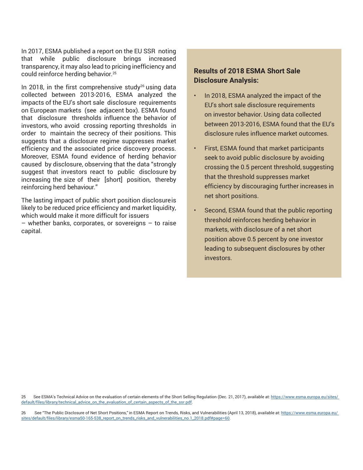In 2017, ESMA published a report on the EU SSR noting that while public disclosure brings increased transparency, it may also lead to pricing inefficiency and could reinforce herding behavior.25

In 2018, in the first comprehensive study<sup>26</sup> using data collected between 2013-2016, ESMA analyzed the impacts of the EU's short sale disclosure requirements on European markets (see adjacent box). ESMA found that disclosure thresholds influence the behavior of investors, who avoid crossing reporting thresholds in order to maintain the secrecy of their positions. This suggests that a disclosure regime suppresses market efficiency and the associated price discovery process. Moreover, ESMA found evidence of herding behavior caused by disclosure, observing that the data "strongly suggest that investors react to public disclosure by increasing the size of their [short] position, thereby reinforcing herd behaviour."

The lasting impact of public short position disclosureis likely to be reduced price efficiency and market liquidity, which would make it more difficult for issuers

– whether banks, corporates, or sovereigns – to raise capital.

## **Results of 2018 ESMA Short Sale Disclosure Analysis:**

- In 2018, ESMA analyzed the impact of the EU's short sale disclosure requirements on investor behavior. Using data collected between 2013-2016, ESMA found that the EU's disclosure rules influence market outcomes.
- First, ESMA found that market participants seek to avoid public disclosure by avoiding crossing the 0.5 percent threshold, suggesting that the threshold suppresses market efficiency by discouraging further increases in net short positions.
- Second, ESMA found that the public reporting threshold reinforces herding behavior in markets, with disclosure of a net short position above 0.5 percent by one investor leading to subsequent disclosures by other investors.

25 See ESMA's Technical Advice on the evaluation of certain elements of the Short Selling Regulation (Dec. 21, 2017), available at: [https://www.esma.europa.eu/sites/](https://www.esma.europa.eu/sites/default/files/library/technical_advice_on_the_evaluation_of_certain_aspects_of_the_ssr.pdf) [default/files/library/technical\\_advice\\_on\\_the\\_evaluation\\_of\\_certain\\_aspects\\_of\\_the\\_ssr.pdf.](https://www.esma.europa.eu/sites/default/files/library/technical_advice_on_the_evaluation_of_certain_aspects_of_the_ssr.pdf)

26 See "The Public Disclosure of Net Short Positions," in ESMA Report on Trends, Risks, and Vulnerabilities (April 13, 2018), available at: [https://www.esma.europa.eu/](https://www.esma.europa.eu/sites/default/files/library/esma50-165-538_report_on_trends_risks_and_vulnerabilities_no.1_2018.pdf#page%3D60) [sites/default/files/library/esma50-165-538\\_report\\_on\\_trends\\_risks\\_and\\_vulnerabilities\\_no.1\\_2018.pdf#page=60.](https://www.esma.europa.eu/sites/default/files/library/esma50-165-538_report_on_trends_risks_and_vulnerabilities_no.1_2018.pdf#page%3D60)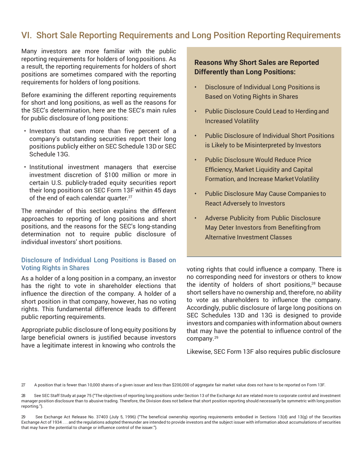# VI. Short Sale Reporting Requirements and Long Position Reporting Requirements

Many investors are more familiar with the public reporting requirements for holders of longpositions. As a result, the reporting requirements for holders of short positions are sometimes compared with the reporting requirements for holders of long positions.

Before examining the different reporting requirements for short and long positions, as well as the reasons for the SEC's determination, here are the SEC's main rules for public disclosure of long positions:

- Investors that own more than five percent of a company's outstanding securities report their long positions publicly either on SEC Schedule 13D or SEC Schedule 13G.
- Institutional investment managers that exercise investment discretion of \$100 million or more in certain U.S. publicly-traded equity securities report their long positions on SEC Form 13F within 45 days of the end of each calendar quarter.<sup>27</sup>

The remainder of this section explains the different approaches to reporting of long positions and short positions, and the reasons for the SEC's long-standing determination not to require public disclosure of individual investors' short positions.

## Disclosure of Individual Long Positions is Based on Voting Rights in Shares

As a holder of a long position in a company, an investor has the right to vote in shareholder elections that influence the direction of the company. A holder of a short position in that company, however, has no voting rights. This fundamental difference leads to different public reporting requirements.

Appropriate public disclosure of long equity positions by large beneficial owners is justified because investors have a legitimate interest in knowing who controls the

## **Reasons Why Short Sales are Reported Differently than Long Positions:**

- Disclosure of Individual Long Positions is Based on Voting Rights in Shares
- Public Disclosure Could Lead to Herding and Increased Volatility
- Public Disclosure of Individual Short Positions is Likely to be Misinterpreted by Investors
- Public Disclosure Would Reduce Price Efficiency, Market Liquidity and Capital Formation, and Increase Market Volatility
- Public Disclosure May Cause Companies to React Adversely to Investors
- Adverse Publicity from Public Disclosure May Deter Investors from Benefitingfrom Alternative Investment Classes

voting rights that could influence a company. There is no corresponding need for investors or others to know the identity of holders of short positions,28 because short sellers have no ownership and, therefore, no ability to vote as shareholders to influence the company. Accordingly, public disclosure of large long positions on SEC Schedules 13D and 13G is designed to provide investors and companies with information about owners that may have the potential to influence control of the company.29

Likewise, SEC Form 13F also requires public disclosure

27 A position that is fewer than 10,000 shares of a given issuer and less than \$200,000 of aggregate fair market value does not have to be reported on Form 13F.

<sup>28</sup> See SEC Staff Study at page 75 ("The objectives of reporting long positions under Section 13 of the Exchange Act are related more to corporate control and investment manager position disclosure than to abusive trading. Therefore, the Division does not believe that short position reporting should necessarily be symmetric with long position reporting.").

<sup>29</sup> See Exchange Act Release No. 37403 (July 5, 1996) ("The beneficial ownership reporting requirements embodied in Sections 13(d) and 13(g) of the Securities Exchange Act of 1934 . . . and the regulations adopted thereunder are intended to provide investors and the subject issuer with information about accumulations of securities that may have the potential to change or influence control of the issuer.").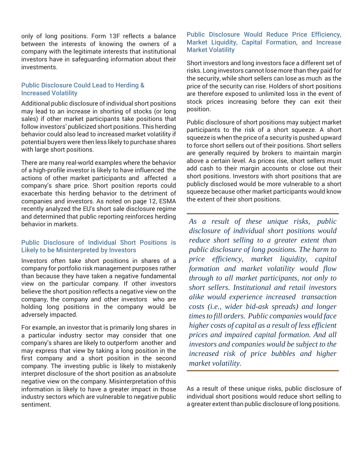only of long positions. Form 13F reflects a balance between the interests of knowing the owners of a company with the legitimate interests that institutional investors have in safeguarding information about their investments.

## Public Disclosure Could Lead to Herding & Increased Volatility

Additional public disclosure of individual short positions may lead to an increase in shorting of stocks (or long sales) if other market participants take positions that follow investors' publicized short positions. This herding behavior could also lead to increased market volatility if potential buyers were then less likely to purchase shares with large short positions.

There are many real-world examples where the behavior of a high-profile investor is likely to have influenced the actions of other market participants and affected a company's share price. Short position reports could exacerbate this herding behavior to the detriment of companies and investors. As noted on page 12, ESMA recently analyzed the EU's short sale disclosure regime and determined that public reporting reinforces herding behavior in markets.

## Public Disclosure of Individual Short Positions is Likely to be Misinterpreted by Investors

Investors often take short positions in shares of a company for portfolio risk management purposes rather than because they have taken a negative fundamental view on the particular company. If other investors believe the short position reflects a negative view on the company, the company and other investors who are holding long positions in the company would be adversely impacted.

For example, an investor that is primarily long shares in a particular industry sector may consider that one company's shares are likely to outperform another and may express that view by taking a long position in the first company and a short position in the second company. The investing public is likely to mistakenly interpret disclosure of the short position as anabsolute negative view on the company. Misinterpretation ofthis information is likely to have a greater impact in those industry sectors which are vulnerable to negative public sentiment.

## Public Disclosure Would Reduce Price Efficiency, Market Liquidity, Capital Formation, and Increase Market Volatility

Short investors and long investors face a different set of risks. Long investors cannot lose more than they paid for the security, while short sellers can lose as much as the price of the security can rise. Holders of short positions are therefore exposed to unlimited loss in the event of stock prices increasing before they can exit their position.

Public disclosure of short positions may subject market participants to the risk of a short squeeze. A short squeeze is when the price of a security is pushed upward to force short sellers out of their positions. Short sellers are generally required by brokers to maintain margin above a certain level. As prices rise, short sellers must add cash to their margin accounts or close out their short positions. Investors with short positions that are publicly disclosed would be more vulnerable to a short squeeze because other market participants would know the extent of their short positions.

*As a result of these unique risks, public disclosure of individual short positions would reduce short selling to a greater extent than public disclosure of long positions. The harm to price efficiency, market liquidity, capital formation and market volatility would flow through to all market participants, not only to short sellers. Institutional and retail investors alike would experience increased transaction costs (i.e., wider bid-ask spreads) and longer timesto fill orders. Public companies would face higher costs of capital as a result of less efficient prices and impaired capital formation. And all investors and companies would be subject to the increased risk of price bubbles and higher market volatility.*

As a result of these unique risks, public disclosure of individual short positions would reduce short selling to a greater extent than public disclosure of long positions.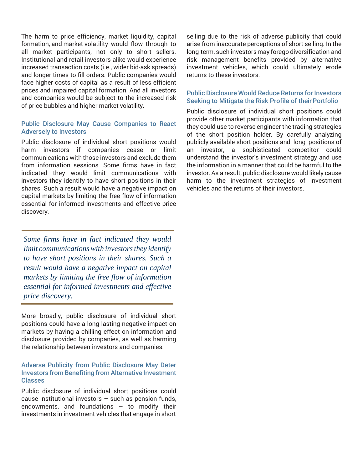The harm to price efficiency, market liquidity, capital formation, and market volatility would flow through to all market participants, not only to short sellers. Institutional and retail investors alike would experience increased transaction costs (i.e., wider bid-ask spreads) and longer times to fill orders. Public companies would face higher costs of capital as a result of less efficient prices and impaired capital formation. And all investors and companies would be subject to the increased risk of price bubbles and higher market volatility.

## Public Disclosure May Cause Companies to React Adversely to Investors

Public disclosure of individual short positions would harm investors if companies cease or limit communications with those investors and exclude them from information sessions. Some firms have in fact indicated they would limit communications with investors they identify to have short positions in their shares. Such a result would have a negative impact on capital markets by limiting the free flow of information essential for informed investments and effective price discovery.

*Some firms have in fact indicated they would limit communicationswith investorsthey identify to have short positions in their shares. Such a result would have a negative impact on capital markets by limiting the free flow of information essential for informed investments and effective price discovery.*

More broadly, public disclosure of individual short positions could have a long lasting negative impact on markets by having a chilling effect on information and disclosure provided by companies, as well as harming the relationship between investors and companies.

## Adverse Publicity from Public Disclosure May Deter Investors from Benefiting from Alternative Investment Classes

Public disclosure of individual short positions could cause institutional investors – such as pension funds, endowments, and foundations – to modify their investments in investment vehicles that engage in short

selling due to the risk of adverse publicity that could arise from inaccurate perceptions of short selling. In the long-term, such investors may forego diversification and risk management benefits provided by alternative investment vehicles, which could ultimately erode returns to these investors.

## Public Disclosure Would Reduce Returns for Investors Seeking to Mitigate the Risk Profile of their Portfolio

Public disclosure of individual short positions could provide other market participants with information that they could use to reverse engineer the trading strategies of the short position holder. By carefully analyzing publicly available short positions and long positions of an investor, a sophisticated competitor could understand the investor's investment strategy and use the information in a manner that could be harmful to the investor. As a result, public disclosure would likely cause harm to the investment strategies of investment vehicles and the returns of their investors.